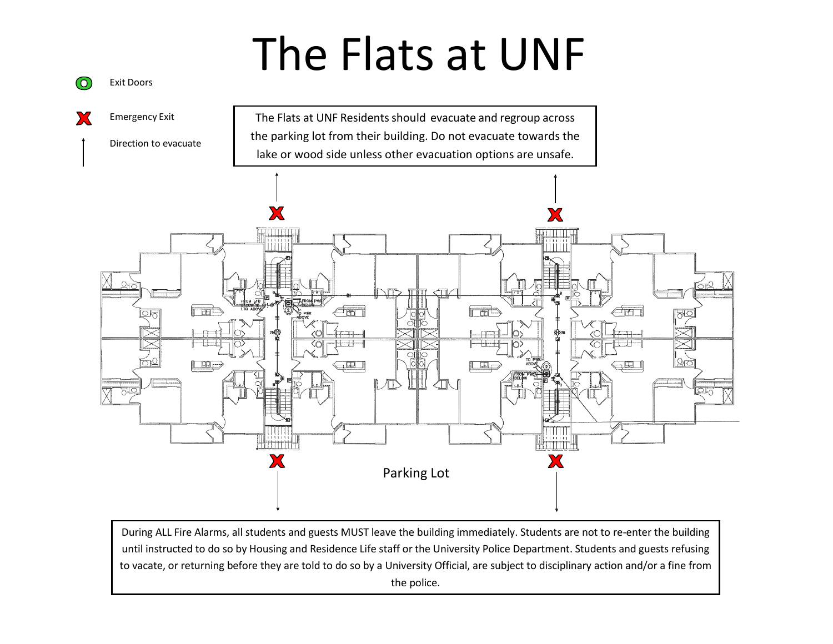## The Flats at UNF

Exit Doors

@



 During ALL Fire Alarms, all students and guests MUST leave the building immediately. Students are not to re-enter the building until instructed to do so by Housing and Residence Life staff or the University Police Department. Students and guests refusing to vacate, or returning before they are told to do so by a University Official, are subject to disciplinary action and/or a fine from the police.